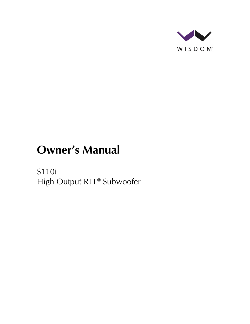

# **Owner's Manual**

S110i High Output RTL® Subwoofer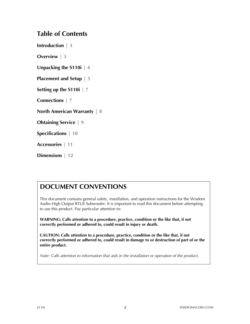#### **Table of Contents**

**Introduction | 3**

**Overview | 3**

**Unpacking the S110i | 4**

**Placement and Setup | 5**

**Setting up the S110i | 7**

**Connections | 7**

**North American Warranty | 8**

**Obtaining Service | 9**

**Specifications | 10**

**Accessories | 11**

**Dimensions | 12**

### **DOCUMENT CONVENTIONS**

This document contains general safety, installation, and operation instructions for the Wisdom Audio High Output RTL® Subwoofer. It is important to read this document before attempting to use this product. Pay particular attention to:

**WARNING: Calls attention to a procedure, practice, condition or the like that, if not correctly performed or adhered to, could result in injury or death.** 

**CAUTION: Calls attention to a procedure, practice, condition or the like that, if not correctly performed or adhered to, could result in damage to or destruction of part of or the entire product.** 

*Note: Calls attention to information that aids in the installation or operation of the product.*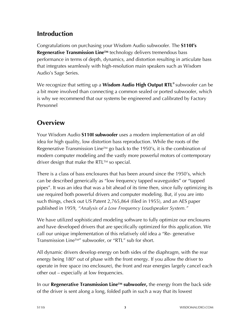# **Introduction**

Congratulations on purchasing your Wisdom Audio subwoofer. The **S110I's Regenerative Transmission Line™** technology delivers tremendous bass performance in terms of depth, dynamics, and distortion resulting in articulate bass that integrates seamlessly with high-resolution main speakers such as Wisdom Audio's Sage Series.

We recognize that setting up a **Wisdom Audio High Output RTL®** subwoofer can be a bit more involved than connecting a common sealed or ported subwoofer, which is why we recommend that our systems be engineered and calibrated by Factory Personnel

# **Overview**

Your Wisdom Audio **S110I subwoofer** uses a modern implementation of an old idea for high quality, low distortion bass reproduction. While the roots of the Regenerative Transmission Line<sup>TM</sup> go back to the 1950's, it is the combination of modern computer modeling and the vastly more powerful motors of contemporary driver design that make the RTL $TM$  so special.

There is a class of bass enclosures that has been around since the 1950's, which can be described generically as "low frequency tapped waveguides" or "tapped pipes". It was an idea that was a bit ahead of its time then, since fully optimizing its use required both powerful drivers and computer modeling. But, if you are into such things, check out US Patent 2,765,864 (filed in 1955), and an AES paper published in 1959, *"Analysis of a Low Frequency Loudspeaker System."*

We have utilized sophisticated modeling software to fully optimize our enclosures and have developed drivers that are specifically optimized for this application. We call our unique implementation of this relatively old idea a "Re- generative Transmission LineTM" subwoofer, or "RTL" sub for short.

All dynamic drivers develop energy on both sides of the diaphragm, with the rear energy being 180° out of phase with the front energy. If you allow the driver to operate in free space (no enclosure), the front and rear energies largely cancel each other out – especially at low frequencies.

In our **Regenerative Transmission LineTM subwoofer,** the energy from the back side of the driver is sent along a long, folded path in such a way that its lowest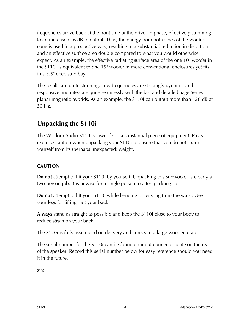frequencies arrive back at the front side of the driver in phase, effectively summing to an increase of 6 dB in output. Thus, the energy from both sides of the woofer cone is used in a productive way, resulting in a substantial reduction in distortion and an effective surface area double compared to what you would otherwise expect. As an example, the effective radiating surface area of the one 10" woofer in the S110I is equivalent to *one* 15" woofer in more conventional enclosures yet fits in a 3.5" deep stud bay.

The results are quite stunning. Low frequencies are strikingly dynamic and responsive and integrate quite seamlessly with the fast and detailed Sage Series planar magnetic hybrids. As an example, the S110I can output more than 128 dB at 30 Hz.

# **Unpacking the S110i**

The Wisdom Audio S110i subwoofer is a substantial piece of equipment. Please exercise caution when unpacking your S110i to ensure that you do not strain yourself from its (perhaps unexpected) weight.

#### **CAUTION**

**Do not** attempt to lift your S110i by yourself. Unpacking this subwoofer is clearly a two-person job. It is unwise for a single person to attempt doing so.

**Do not** attempt to lift your S110i while bending or twisting from the waist. Use your legs for lifting, not your back.

**Always** stand as straight as possible and keep the S110i close to your body to reduce strain on your back.

The S110i is fully assembled on delivery and comes in a large wooden crate.

The serial number for the S110i can be found on input connector plate on the rear of the speaker. Record this serial number below for easy reference should you need it in the future.

 $s/n:$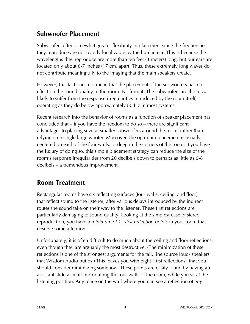# **Subwoofer Placement**

Subwoofers offer somewhat greater flexibility in placement since the frequencies they reproduce are not readily localizable by the human ear. This is because the wavelengths they reproduce are more than ten feet (3 meters) long, but our ears are located only about 6-7 inches (17 cm) apart. Thus, these extremely long waves do not contribute meaningfully to the imaging that the main speakers create.

However, this fact does not mean that the placement of the subwoofers has no effect on the sound quality in the room. Far from it. The subwoofers are the *most*  likely to suffer from the response irregularities introduced by the room itself, operating as they do below approximately 80 Hz in most systems.

Recent research into the behavior of rooms as a function of speaker placement has concluded that – if you have the freedom to do so – there are significant advantages to placing several smaller subwoofers around the room, rather than relying on a single large woofer. Moreover, the optimum placement is usually centered on each of the four walls, or deep in the corners of the room. If you have the luxury of doing so, this simple placement strategy can reduce the size of the room's response irregularities from 20 decibels down to perhaps as little as 6-8 decibels – a tremendous improvement.

# **Room Treatment**

Rectangular rooms have six reflecting surfaces (four walls, ceiling, and floor) that reflect sound to the listener, after various delays introduced by the indirect routes the sound take on their way to the listener. These first reflections are particularly damaging to sound quality. Looking at the simplest case of stereo reproduction, you have *a minimum of 12 first reflection points* in your room that deserve some attention.

Unfortunately, it is often difficult to do much about the ceiling and floor reflections, even though they are arguably the most destructive. (The minimization of these reflections is one of the strongest arguments for the tall, line source loud- speakers that Wisdom Audio builds.) This leaves you with eight "first reflections" that you should consider minimizing somehow. These points are easily found by having an assistant slide a small mirror along the four walls of the room, while you sit at the listening position. Any place on the wall where you can see a reflection of *any*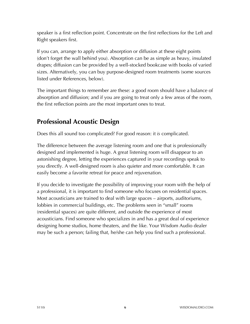speaker is a first reflection point. Concentrate on the first reflections for the Left and Right speakers first.

If you can, arrange to apply either absorption or diffusion at these eight points (don't forget the wall behind you). Absorption can be as simple as heavy, insulated drapes; diffusion can be provided by a well-stocked bookcase with books of varied sizes. Alternatively, you can buy purpose-designed room treatments (some sources listed under References, below).

The important things to remember are these: a good room should have a balance of absorption and diffusion; and if you are going to treat only a few areas of the room, the first reflection points are the most important ones to treat.

### **Professional Acoustic Design**

Does this all sound too complicated? For good reason: it *is* complicated.

The difference between the average listening room and one that is professionally designed and implemented is huge. A great listening room will disappear to an astonishing degree, letting the experiences captured in your recordings speak to you directly. A well-designed room is also quieter and more comfortable. It can easily become a favorite retreat for peace and rejuvenation.

If you decide to investigate the possibility of improving your room with the help of a professional, it is important to find someone who focuses on residential spaces. Most acousticians are trained to deal with large spaces – airports, auditoriums, lobbies in commercial buildings, etc. The problems seen in "small" rooms (residential spaces) are quite different, and outside the experience of most acousticians. Find someone who specializes in and has a great deal of experience designing home studios, home theaters, and the like. Your Wisdom Audio dealer may be such a person; failing that, he/she can help you find such a professional.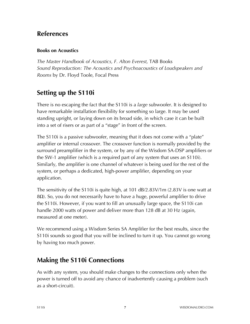#### **References**

#### **Books on Acoustics**

*The Master Handbook of Acoustics, F. Alton Everest,* TAB Books *Sound Reproduction: The Acoustics and Psychoacoustics of Loudspeakers and Rooms* by Dr. Floyd Toole, Focal Press

# **Setting up the S110i**

There is no escaping the fact that the S110i is a *large* subwoofer. It is designed to have remarkable installation flexibility for something so large. It may be used standing upright, or laying down on its broad side, in which case it can be built into a set of risers or as part of a "stage" in front of the screen.

The S110i is a passive subwoofer, meaning that it does not come with a "plate" amplifier or internal crossover. The crossover function is normally provided by the surround preamplifier in the system, or by any of the Wisdom SA-DSP amplifiers or the SW-1 amplifier (which is a required part of any system that uses an S110i). Similarly, the amplifier is one channel of whatever is being used for the rest of the system, or perhaps a dedicated, high-power amplifier, depending on your application.

The sensitivity of the S110i is quite high, at 101 dB/2.83V/1m (2.83V is one watt at 8Ω). So, you do not necessarily have to have a huge, powerful amplifier to drive the S110i. However, if you want to fill an unusually large space, the S110i can handle 2000 watts of power and deliver more than 128 dB at 30 Hz (again, measured at one meter).

We recommend using a Wisdom Series SA Amplifier for the best results, since the S110i sounds so good that you will be inclined to turn it up. You cannot go wrong by having too much power.

### **Making the S110i Connections**

As with any system, you should make changes to the connections only when the power is turned off to avoid any chance of inadvertently causing a problem (such as a short-circuit).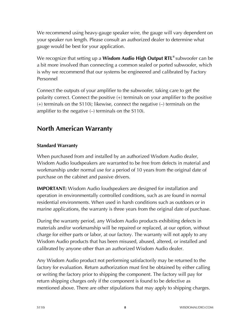We recommend using heavy-gauge speaker wire, the gauge will vary dependent on your speaker run length. Please consult an authorized dealer to determine what gauge would be best for your application.

We recognize that setting up a **Wisdom Audio High Output RTL®** subwoofer can be a bit more involved than connecting a common sealed or ported subwoofer, which is why we recommend that our systems be engineered and calibrated by Factory Personnel

Connect the outputs of your amplifier to the subwoofer, taking care to get the polarity correct. Connect the positive (+) terminals on your amplifier to the positive (+) terminals on the S110i; likewise, connect the negative (–) terminals on the amplifier to the negative (–) terminals on the S110i.

### **North American Warranty**

#### **Standard Warranty**

When purchased from and installed by an authorized Wisdom Audio dealer, Wisdom Audio loudspeakers are warranted to be free from defects in material and workmanship under normal use for a period of 10 years from the original date of purchase on the cabinet and passive drivers.

**IMPORTANT:** Wisdom Audio loudspeakers are designed for installation and operation in environmentally controlled conditions, such as are found in normal residential environments. When used in harsh conditions such as outdoors or in marine applications, the warranty is three years from the original date of purchase.

During the warranty period, any Wisdom Audio products exhibiting defects in materials and/or workmanship will be repaired or replaced, at our option, without charge for either parts or labor, at our factory. The warranty will not apply to any Wisdom Audio products that has been misused, abused, altered, or installed and calibrated by anyone other than an authorized Wisdom Audio dealer.

Any Wisdom Audio product not performing satisfactorily may be returned to the factory for evaluation. Return authorization must first be obtained by either calling or writing the factory prior to shipping the component. The factory will pay for return shipping charges only if the component is found to be defective as mentioned above. There are other stipulations that may apply to shipping charges.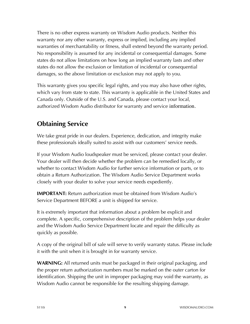There is no other express warranty on Wisdom Audio products. Neither this warranty nor any other warranty, express or implied, including any implied warranties of merchantability or fitness, shall extend beyond the warranty period. No responsibility is assumed for any incidental or consequential damages. Some states do not allow limitations on how long an implied warranty lasts and other states do not allow the exclusion or limitation of incidental or consequential damages, so the above limitation or exclusion may not apply to you.

This warranty gives you specific legal rights, and you may also have other rights, which vary from state to state. This warranty is applicable in the United States and Canada only. Outside of the U.S. and Canada, please contact your local, authorized Wisdom Audio distributor for warranty and service information.

# **Obtaining Service**

We take great pride in our dealers. Experience, dedication, and integrity make these professionals ideally suited to assist with our customers' service needs.

If your Wisdom Audio loudspeaker must be serviced, please contact your dealer. Your dealer will then decide whether the problem can be remedied locally, or whether to contact Wisdom Audio for further service information or parts, or to obtain a Return Authorization. The Wisdom Audio Service Department works closely with your dealer to solve your service needs expediently.

**IMPORTANT:** Return authorization must be obtained from Wisdom Audio's Service Department BEFORE a unit is shipped for service.

It is extremely important that information about a problem be explicit and complete. A specific, comprehensive description of the problem helps your dealer and the Wisdom Audio Service Department locate and repair the difficulty as quickly as possible.

A copy of the original bill of sale will serve to verify warranty status. Please include it with the unit when it is brought in for warranty service.

**WARNING:** All returned units must be packaged in their original packaging, and the proper return authorization numbers must be marked on the outer carton for identification. Shipping the unit in improper packaging may void the warranty, as Wisdom Audio cannot be responsible for the resulting shipping damage.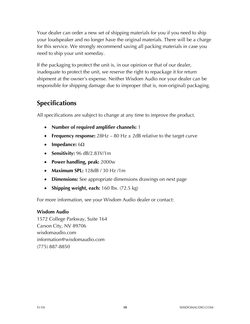Your dealer can order a new set of shipping materials for you if you need to ship your loudspeaker and no longer have the original materials. There will be a charge for this service. We strongly recommend saving all packing materials in case you need to ship your unit someday.

If the packaging to protect the unit is, in our opinion or that of our dealer, inadequate to protect the unit, we reserve the right to repackage it for return shipment at the owner's expense. Neither Wisdom Audio nor your dealer can be responsible for shipping damage due to improper (that is, non-original) packaging.

### **Specifications**

All specifications are subject to change at any time to improve the product.

- **Number of required amplifier channels:** 1
- **Frequency response:**  $28Hz 80 Hz \pm 2dB$  relative to the target curve
- **Impedance:** 6Ω
- **Sensitivity:** 96 dB/2.83V/1m
- **Power handling, peak:** 2000w
- **Maximum SPL:** 128dB / 30 Hz /1m
- **Dimensions:** See appropriate dimensions drawings on next page
- **Shipping weight, each:** 160 lbs. (72.5 kg)

For more information, see your Wisdom Audio dealer or contact:

#### **Wisdom Audio**

1572 College Parkway, Suite 164 Carson City, NV 89706 wisdomaudio.com information@wisdomaudio.com (775) 887-8850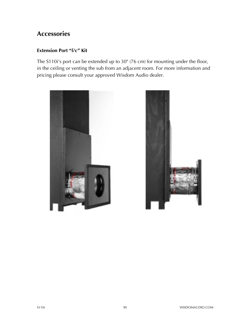### **Accessories**

#### **Extension Port "f/c" Kit**

The S110i's port can be extended up to 30" (76 cm) for mounting under the floor, in the ceiling or venting the sub from an adjacent room. For more information and pricing please consult your approved Wisdom Audio dealer.



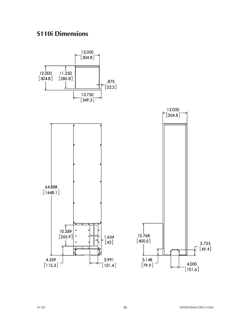# **S110i Dimensions**